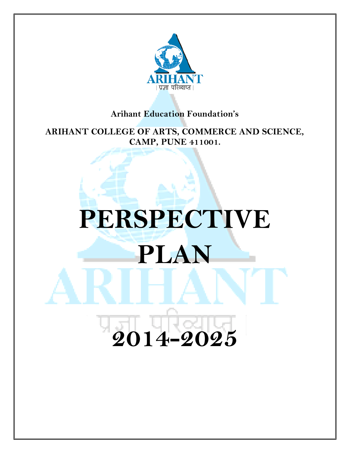

#### **Arihant Education Foundation's**

**ARIHANT COLLEGE OF ARTS, COMMERCE AND SCIENCE, CAMP, PUNE 411001.**

# **PERSPECTIVE PLAN 2014-2025**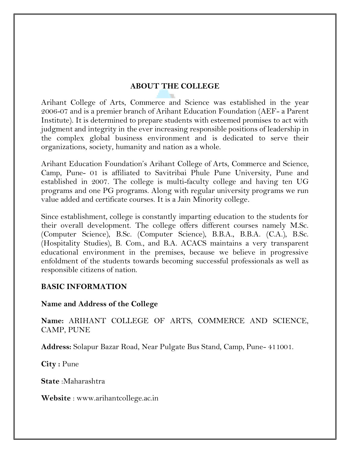#### **ABOUT THE COLLEGE**

Arihant College of Arts, Commerce and Science was established in the year 2006-07 and is a premier branch of Arihant Education Foundation (AEF- a Parent Institute). It is determined to prepare students with esteemed promises to act with judgment and integrity in the ever increasing responsible positions of leadership in the complex global business environment and is dedicated to serve their organizations, society, humanity and nation as a whole.

Arihant Education Foundation's Arihant College of Arts, Commerce and Science, Camp, Pune- 01 is affiliated to Savitribai Phule Pune University, Pune and established in 2007. The college is multi-faculty college and having ten UG programs and one PG programs. Along with regular university programs we run value added and certificate courses. It is a Jain Minority college.

Since establishment, college is constantly imparting education to the students for their overall development. The college offers different courses namely M.Sc. (Computer Science), B.Sc. (Computer Science), B.B.A., B.B.A. (C.A.), B.Sc. (Hospitality Studies), B. Com., and B.A. ACACS maintains a very transparent educational environment in the premises, because we believe in progressive enfoldment of the students towards becoming successful professionals as well as responsible citizens of nation.

#### **BASIC INFORMATION**

#### **Name and Address of the College**

**Name:** ARIHANT COLLEGE OF ARTS, COMMERCE AND SCIENCE, CAMP, PUNE

**Address:** Solapur Bazar Road, Near Pulgate Bus Stand, Camp, Pune- 411001.

**City :** Pune

**State** :Maharashtra

**Website** : www.arihantcollege.ac.in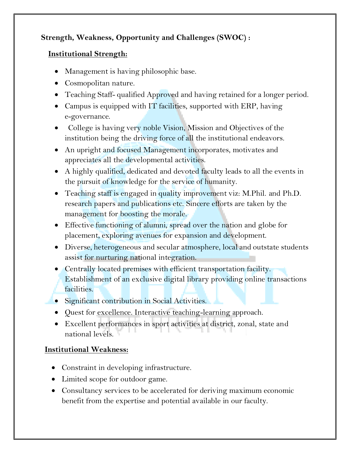#### **Strength, Weakness, Opportunity and Challenges (SWOC) :**

#### **Institutional Strength:**

- Management is having philosophic base.
- Cosmopolitan nature.
- Teaching Staff- qualified Approved and having retained for a longer period.
- Campus is equipped with IT facilities, supported with ERP, having e-governance.
- College is having very noble Vision, Mission and Objectives of the institution being the driving force of all the institutional endeavors.
- An upright and focused Management incorporates, motivates and appreciates all the developmental activities.
- A highly qualified, dedicated and devoted faculty leads to all the events in the pursuit of knowledge for the service of humanity.
- Teaching staff is engaged in quality improvement viz: M.Phil. and Ph.D. research papers and publications etc. Sincere efforts are taken by the management for boosting the morale.
- Effective functioning of alumni, spread over the nation and globe for placement, exploring avenues for expansion and development.
- Diverse, heterogeneous and secular atmosphere, local and outstate students assist for nurturing national integration.
- Centrally located premises with efficient transportation facility. Establishment of an exclusive digital library providing online transactions facilities.
- Significant contribution in Social Activities.
- Quest for excellence. Interactive teaching-learning approach.
- Excellent performances in sport activities at district, zonal, state and national levels.

#### **Institutional Weakness:**

- Constraint in developing infrastructure.
- Limited scope for outdoor game.
- Consultancy services to be accelerated for deriving maximum economic benefit from the expertise and potential available in our faculty.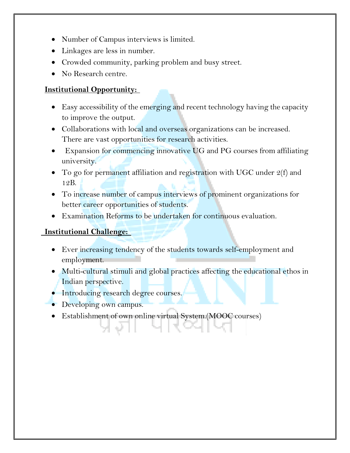- Number of Campus interviews is limited.
- Linkages are less in number.
- Crowded community, parking problem and busy street.
- No Research centre.

#### **Institutional Opportunity:**

- Easy accessibility of the emerging and recent technology having the capacity to improve the output.
- Collaborations with local and overseas organizations can be increased. There are vast opportunities for research activities.
- Expansion for commencing innovative UG and PG courses from affiliating university.
- To go for permanent affiliation and registration with UGC under 2(f) and 12B.
- To increase number of campus interviews of prominent organizations for better career opportunities of students.
- Examination Reforms to be undertaken for continuous evaluation.

#### **Institutional Challenge:**

- Ever increasing tendency of the students towards self-employment and employment.
- Multi-cultural stimuli and global practices affecting the educational ethos in Indian perspective.
- **Introducing research degree courses.**
- Developing own campus.
- Establishment of own online virtual System.(MOOC courses)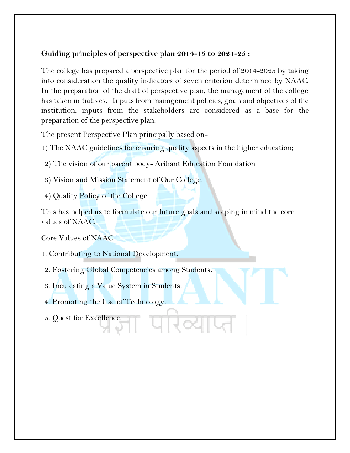#### **Guiding principles of perspective plan 2014-15 to 2024-25 :**

The college has prepared a perspective plan for the period of 2014-2025 by taking into consideration the quality indicators of seven criterion determined by NAAC. In the preparation of the draft of perspective plan, the management of the college has taken initiatives. Inputs from management policies, goals and objectives of the institution, inputs from the stakeholders are considered as a base for the preparation of the perspective plan.

The present Perspective Plan principally based on-

- 1) The NAAC guidelines for ensuring quality aspects in the higher education;
- 2) The vision of our parent body- Arihant Education Foundation
- 3) Vision and Mission Statement of Our College.
- 4) Quality Policy of the College.

This has helped us to formulate our future goals and keeping in mind the core values of NAAC.

Core Values of NAAC:

- 1. Contributing to National Development.
- 2. Fostering Global Competencies among Students.
- 3. Inculcating a Value System in Students.
- 4. Promoting the Use of Technology.
- 5. Quest for Excellence.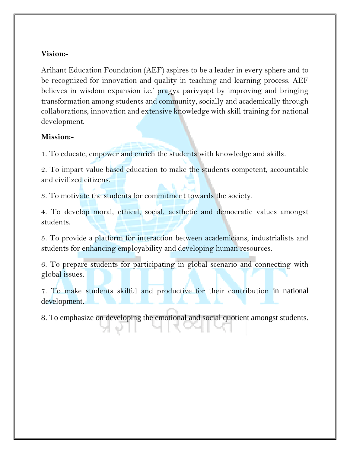#### **Vision:-**

Arihant Education Foundation (AEF) aspires to be a leader in every sphere and to be recognized for innovation and quality in teaching and learning process. AEF believes in wisdom expansion i.e.' pragya parivyapt by improving and bringing transformation among students and community, socially and academically through collaborations, innovation and extensive knowledge with skill training for national development.

#### **Mission:-**

1. To educate, empower and enrich the students with knowledge and skills.

2. To impart value based education to make the students competent, accountable and civilized citizens.

3. To motivate the students for commitment towards the society.

4. To develop moral, ethical, social, aesthetic and democratic values amongst students.

5. To provide a platform for interaction between academicians, industrialists and students for enhancing employability and developing human resources.

6. To prepare students for participating in global scenario and connecting with global issues.

7. To make students skilful and productive for their contribution in national development.

8. To emphasize on developing the emotional and social quotient amongst students.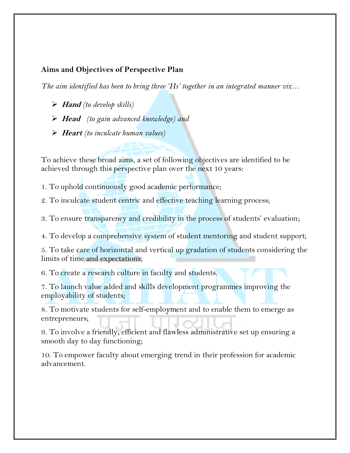#### **Aims and Objectives of Perspective Plan**

*The aim identified has been to bring three 'Hs' together in an integrated manner viz…* 

- **Hand** *(to develop skills)*
- **Head** *(to gain advanced knowledge) and*
- **Heart** *(to inculcate human values)*

To achieve these broad aims, a set of following objectives are identified to be achieved through this perspective plan over the next 10 years:

1. To uphold continuously good academic performance;

2. To inculcate student centric and effective teaching learning process;

3. To ensure transparency and credibility in the process of students' evaluation;

4. To develop a comprehensive system of student mentoring and student support;

5. To take care of horizontal and vertical up gradation of students considering the limits of time and expectations;

6. To create a research culture in faculty and students.

7. To launch value added and skills development programmes improving the employability of students;

8. To motivate students for self-employment and to enable them to emerge as entrepreneurs;

9. To involve a friendly, efficient and flawless administrative set up ensuring a smooth day to day functioning;

10. To empower faculty about emerging trend in their profession for academic advancement.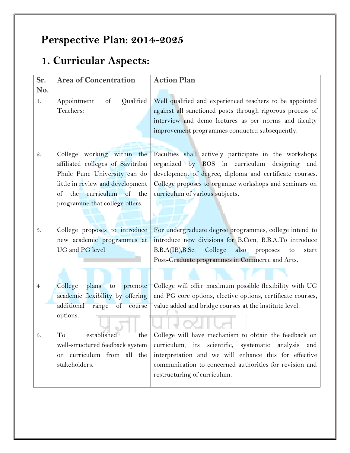## **Perspective Plan: 2014-2025**

# **1. Curricular Aspects:**

| Sr.            | <b>Area of Concentration</b>                                                                                                                                                                      | <b>Action Plan</b>                                                                                                                                                                                                                                                     |
|----------------|---------------------------------------------------------------------------------------------------------------------------------------------------------------------------------------------------|------------------------------------------------------------------------------------------------------------------------------------------------------------------------------------------------------------------------------------------------------------------------|
| No.            |                                                                                                                                                                                                   |                                                                                                                                                                                                                                                                        |
| 1.             | Appointment<br>of<br>Qualified<br>Teachers:                                                                                                                                                       | Well qualified and experienced teachers to be appointed<br>against all sanctioned posts through rigorous process of<br>interview and demo lectures as per norms and faculty<br>improvement programmes conducted subsequently.                                          |
| $\mathcal{Q}.$ | College working within the<br>affiliated colleges of Savitribai<br>Phule Pune University can do<br>little in review and development<br>of the curriculum of the<br>programme that college offers. | Faculties shall actively participate in the workshops<br>organized by BOS in curriculum<br>designing<br>and<br>development of degree, diploma and certificate courses.<br>College proposes to organize workshops and seminars on<br>curriculum of various subjects.    |
| 3.             | College proposes to introduce<br>new academic programmes at<br>UG and PG level                                                                                                                    | For undergraduate degree programmes, college intend to<br>introduce new divisions for B.Com, B.B.A.To introduce<br>College<br>B.B.A(IB), B.Sc.<br>also<br>proposes<br>to<br>start<br>Post-Graduate programmes in Commerce and Arts.                                    |
| $\overline{4}$ | College<br>plans<br>promote<br>to<br>academic flexibility by offering<br>additional range of<br>course<br>options.                                                                                | College will offer maximum possible flexibility with UG<br>and PG core options, elective options, certificate courses,<br>value added and bridge courses at the institute level.                                                                                       |
| 5.             | and the con-<br>established<br>To<br>the<br>well-structured feedback system<br>on curriculum from all the<br>stakeholders.                                                                        | College will have mechanism to obtain the feedback on<br>curriculum, its scientific, systematic<br>analysis<br>and<br>interpretation and we will enhance this for effective<br>communication to concerned authorities for revision and<br>restructuring of curriculum. |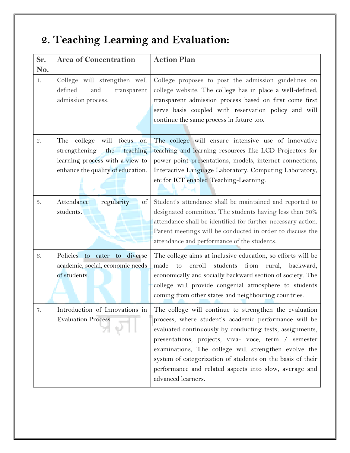# **2. Teaching Learning and Evaluation:**

| Sr.<br>No. | <b>Area of Concentration</b>                                                                                                                      | <b>Action Plan</b>                                                                                                                                                                                                                                                                                                                                                                                                                        |
|------------|---------------------------------------------------------------------------------------------------------------------------------------------------|-------------------------------------------------------------------------------------------------------------------------------------------------------------------------------------------------------------------------------------------------------------------------------------------------------------------------------------------------------------------------------------------------------------------------------------------|
| 1.         | College will strengthen well<br>defined<br>and<br>transparent<br>admission process.                                                               | College proposes to post the admission guidelines on<br>college website. The college has in place a well-defined,<br>transparent admission process based on first come first<br>serve basis coupled with reservation policy and will<br>continue the same process in future too.                                                                                                                                                          |
| 2.         | will<br>focus<br>The<br>college<br>on<br>strengthening<br>teaching<br>the<br>learning process with a view to<br>enhance the quality of education. | The college will ensure intensive use of innovative<br>teaching and learning resources like LCD Projectors for<br>power point presentations, models, internet connections,<br>Interactive Language Laboratory, Computing Laboratory,<br>etc for ICT enabled Teaching-Learning.                                                                                                                                                            |
| 3.         | Attendance<br>regularity<br>of<br>students.                                                                                                       | Student's attendance shall be maintained and reported to<br>designated committee. The students having less than 60%<br>attendance shall be identified for further necessary action.<br>Parent meetings will be conducted in order to discuss the<br>attendance and performance of the students.                                                                                                                                           |
| 6.         | Policies to cater to diverse<br>academic, social, economic needs<br>of students.                                                                  | The college aims at inclusive education, so efforts will be<br>made<br>enroll<br>students<br>from<br>to<br>rural,<br>backward,<br>economically and socially backward section of society. The<br>college will provide congenial atmosphere to students<br>coming from other states and neighbouring countries.                                                                                                                             |
| 7.         | Introduction of Innovations in<br><b>Evaluation Process.</b>                                                                                      | The college will continue to strengthen the evaluation<br>process, where student's academic performance will be<br>evaluated continuously by conducting tests, assignments,<br>presentations, projects, viva- voce, term / semester<br>examinations, The college will strengthen evolve the<br>system of categorization of students on the basis of their<br>performance and related aspects into slow, average and<br>advanced learners. |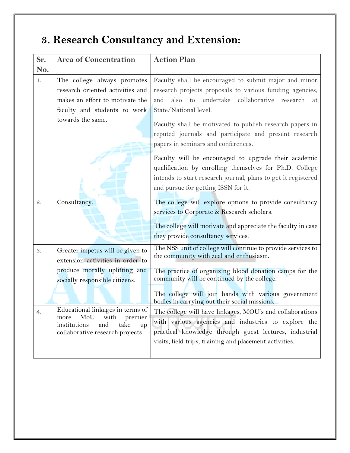# **3. Research Consultancy and Extension:**

| Sr.             | <b>Area of Concentration</b>                                       | <b>Action Plan</b>                                            |
|-----------------|--------------------------------------------------------------------|---------------------------------------------------------------|
| No.             |                                                                    |                                                               |
| 1.              | The college always promotes                                        | Faculty shall be encouraged to submit major and minor         |
|                 | research oriented activities and                                   | research projects proposals to various funding agencies,      |
|                 | makes an effort to motivate the                                    | also to undertake collaborative research<br>and<br>at         |
|                 | faculty and students to work                                       | State/National level.                                         |
|                 | towards the same.                                                  | Faculty shall be motivated to publish research papers in      |
|                 |                                                                    | reputed journals and participate and present research         |
|                 |                                                                    | papers in seminars and conferences.                           |
|                 |                                                                    |                                                               |
|                 |                                                                    | Faculty will be encouraged to upgrade their academic          |
|                 |                                                                    | qualification by enrolling themselves for Ph.D. College       |
|                 |                                                                    | intends to start research journal, plans to get it registered |
|                 |                                                                    | and pursue for getting ISSN for it.                           |
| $\mathcal{Q}$ . | Consultancy.                                                       | The college will explore options to provide consultancy       |
|                 |                                                                    | services to Corporate & Research scholars.                    |
|                 |                                                                    | The college will motivate and appreciate the faculty in case  |
|                 |                                                                    | they provide consultancy services.                            |
|                 |                                                                    | The NSS unit of college will continue to provide services to  |
| 3.              | Greater impetus will be given to                                   | the community with zeal and enthusiasm.                       |
|                 | extension activities in order to                                   |                                                               |
|                 | produce morally uplifting and                                      | The practice of organizing blood donation camps for the       |
|                 | socially responsible citizens.                                     | community will be continued by the college.                   |
|                 |                                                                    | The college will join hands with various government           |
|                 |                                                                    | bodies in carrying out their social missions.                 |
| 4.              | Educational linkages in terms of<br>MoU<br>with<br>premier<br>more | The college will have linkages, MOU's and collaborations      |
|                 | institutions<br>and<br>take<br>up                                  | with various agencies and industries to explore the           |
|                 | collaborative research projects                                    | practical knowledge through guest lectures, industrial        |
|                 |                                                                    | visits, field trips, training and placement activities.       |
|                 |                                                                    |                                                               |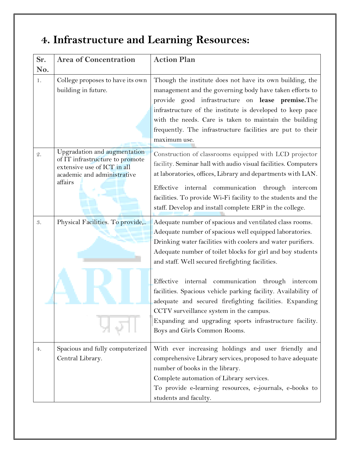## **4. Infrastructure and Learning Resources:**

| Sr.<br>No.     | <b>Area of Concentration</b>                                                                                                             | <b>Action Plan</b>                                                                                                                                                                                                                                                                                                                                                                                                                                                                                                               |
|----------------|------------------------------------------------------------------------------------------------------------------------------------------|----------------------------------------------------------------------------------------------------------------------------------------------------------------------------------------------------------------------------------------------------------------------------------------------------------------------------------------------------------------------------------------------------------------------------------------------------------------------------------------------------------------------------------|
| 1.             | College proposes to have its own<br>building in future.                                                                                  | Though the institute does not have its own building, the<br>management and the governing body have taken efforts to<br>provide good infrastructure on lease premise. The<br>infrastructure of the institute is developed to keep pace<br>with the needs. Care is taken to maintain the building<br>frequently. The infrastructure facilities are put to their<br>maximum use.                                                                                                                                                    |
| $\mathcal{Q}.$ | Upgradation and augmentation<br>of IT infrastructure to promote<br>extensive use of ICT in all<br>academic and administrative<br>affairs | Construction of classrooms equipped with LCD projector<br>facility. Seminar hall with audio visual facilities. Computers<br>at laboratories, offices, Library and departments with LAN.<br>Effective internal communication through intercom<br>facilities. To provide Wi-Fi facility to the students and the<br>staff. Develop and install complete ERP in the college.                                                                                                                                                         |
| 3.             | Physical Facilities. To provide,                                                                                                         | Adequate number of spacious and ventilated class rooms.<br>Adequate number of spacious well equipped laboratories.<br>Drinking water facilities with coolers and water purifiers.<br>Adequate number of toilet blocks for girl and boy students<br>and staff. Well secured firefighting facilities.<br>Effective internal communication through intercom<br>facilities. Spacious vehicle parking facility. Availability of<br>adequate and secured firefighting facilities. Expanding<br>CCTV surveillance system in the campus. |
|                |                                                                                                                                          | Expanding and upgrading sports infrastructure facility.<br>Boys and Girls Common Rooms.                                                                                                                                                                                                                                                                                                                                                                                                                                          |
| 4.             | Spacious and fully computerized<br>Central Library.                                                                                      | With ever increasing holdings and user friendly and<br>comprehensive Library services, proposed to have adequate<br>number of books in the library.<br>Complete automation of Library services.<br>To provide e-learning resources, e-journals, e-books to<br>students and faculty.                                                                                                                                                                                                                                              |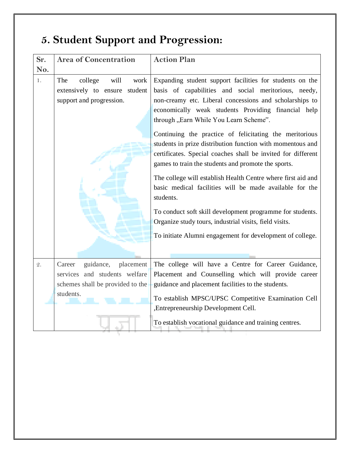# **5. Student Support and Progression:**

| No.             | <b>Area of Concentration</b>                                                                                       | <b>Action Plan</b>                                                                                                                                                                                                                                                                                                                                                                                                                                                                                                                                                                                                                                                                                                                                                                                                                                       |
|-----------------|--------------------------------------------------------------------------------------------------------------------|----------------------------------------------------------------------------------------------------------------------------------------------------------------------------------------------------------------------------------------------------------------------------------------------------------------------------------------------------------------------------------------------------------------------------------------------------------------------------------------------------------------------------------------------------------------------------------------------------------------------------------------------------------------------------------------------------------------------------------------------------------------------------------------------------------------------------------------------------------|
| 1.              | college<br>The<br>will<br>work<br>extensively to ensure<br>student<br>support and progression.                     | Expanding student support facilities for students on the<br>basis of capabilities and social meritorious, needy,<br>non-creamy etc. Liberal concessions and scholarships to<br>economically weak students Providing financial help<br>through "Earn While You Learn Scheme".<br>Continuing the practice of felicitating the meritorious<br>students in prize distribution function with momentous and<br>certificates. Special coaches shall be invited for different<br>games to train the students and promote the sports.<br>The college will establish Health Centre where first aid and<br>basic medical facilities will be made available for the<br>students.<br>To conduct soft skill development programme for students.<br>Organize study tours, industrial visits, field visits.<br>To initiate Alumni engagement for development of college. |
| $\mathcal{Q}$ . | guidance,<br>placement<br>Career<br>services and students welfare<br>schemes shall be provided to the<br>students. | The college will have a Centre for Career Guidance,<br>Placement and Counselling which will provide career<br>guidance and placement facilities to the students.<br>To establish MPSC/UPSC Competitive Examination Cell<br>, Entrepreneurship Development Cell.<br>To establish vocational guidance and training centres.                                                                                                                                                                                                                                                                                                                                                                                                                                                                                                                                |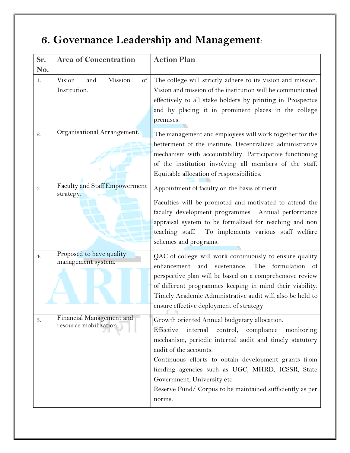# **6. Governance Leadership and Management**:

| Sr.             | <b>Area of Concentration</b>               | <b>Action Plan</b>                                                                |
|-----------------|--------------------------------------------|-----------------------------------------------------------------------------------|
| No.             |                                            |                                                                                   |
| 1.              | Mission<br>Vision<br>and<br>of             | The college will strictly adhere to its vision and mission.                       |
|                 | Institution.                               | Vision and mission of the institution will be communicated                        |
|                 |                                            | effectively to all stake holders by printing in Prospectus                        |
|                 |                                            | and by placing it in prominent places in the college                              |
|                 |                                            | premises.                                                                         |
| $\mathcal{Q}$ . | Organisational Arrangement.                | The management and employees will work together for the                           |
|                 |                                            | betterment of the institute. Decentralized administrative                         |
|                 |                                            | mechanism with accountability. Participative functioning                          |
|                 |                                            | of the institution involving all members of the staff.                            |
|                 |                                            | Equitable allocation of responsibilities.                                         |
| 3.              | Faculty and Staff Empowerment<br>strategy. | Appointment of faculty on the basis of merit.                                     |
|                 |                                            | Faculties will be promoted and motivated to attend the                            |
|                 |                                            | faculty development programmes. Annual performance                                |
|                 |                                            | appraisal system to be formalized for teaching and non                            |
|                 |                                            | teaching staff.<br>To implements various staff welfare                            |
|                 |                                            | schemes and programs.                                                             |
| 4.              | Proposed to have quality                   | QAC of college will work continuously to ensure quality                           |
|                 | management system.                         | enhancement and<br>sustenance.<br>The formulation of                              |
|                 |                                            | perspective plan will be based on a comprehensive review                          |
|                 |                                            | of different programmes keeping in mind their viability.                          |
|                 |                                            | Timely Academic Administrative audit will also be held to                         |
|                 |                                            | ensure effective deployment of strategy.                                          |
| 5.              | Financial Management and                   | Growth oriented Annual budgetary allocation.                                      |
|                 | resource mobilization                      | Effective                                                                         |
|                 |                                            | internal<br>control, compliance<br>monitoring                                     |
|                 |                                            | mechanism, periodic internal audit and timely statutory<br>audit of the accounts. |
|                 |                                            | Continuous efforts to obtain development grants from                              |
|                 |                                            | funding agencies such as UGC, MHRD, ICSSR, State                                  |
|                 |                                            | Government, University etc.                                                       |
|                 |                                            |                                                                                   |
|                 |                                            | Reserve Fund/ Corpus to be maintained sufficiently as per                         |
|                 |                                            | norms.                                                                            |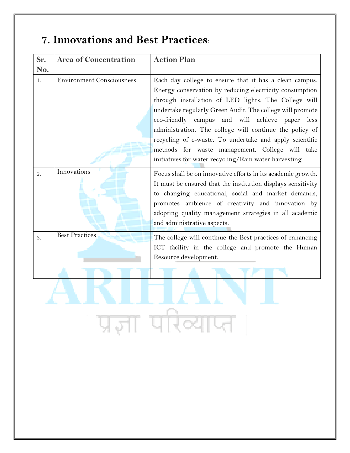### **7. Innovations and Best Practices**:

| Sr.             | <b>Area of Concentration</b>     | <b>Action Plan</b>                                                                                                                                                                                                                                                                                                                                                                                                                                                                                                              |
|-----------------|----------------------------------|---------------------------------------------------------------------------------------------------------------------------------------------------------------------------------------------------------------------------------------------------------------------------------------------------------------------------------------------------------------------------------------------------------------------------------------------------------------------------------------------------------------------------------|
| No.             |                                  |                                                                                                                                                                                                                                                                                                                                                                                                                                                                                                                                 |
| 1.              | <b>Environment Consciousness</b> | Each day college to ensure that it has a clean campus.<br>Energy conservation by reducing electricity consumption<br>through installation of LED lights. The College will<br>undertake regularly Green Audit. The college will promote<br>campus and will achieve paper less<br>eco-friendly<br>administration. The college will continue the policy of<br>recycling of e-waste. To undertake and apply scientific<br>methods for waste management. College will take<br>initiatives for water recycling/Rain water harvesting. |
| $\mathcal{Q}$ . | Innovations                      | Focus shall be on innovative efforts in its academic growth.<br>It must be ensured that the institution displays sensitivity<br>to changing educational, social and market demands,<br>promotes ambience of creativity and innovation by<br>adopting quality management strategies in all academic<br>and administrative aspects.                                                                                                                                                                                               |
| 3.              | <b>Best Practices</b>            | The college will continue the Best practices of enhancing<br>ICT facility in the college and promote the Human<br>Resource development.                                                                                                                                                                                                                                                                                                                                                                                         |
|                 |                                  |                                                                                                                                                                                                                                                                                                                                                                                                                                                                                                                                 |
|                 |                                  |                                                                                                                                                                                                                                                                                                                                                                                                                                                                                                                                 |